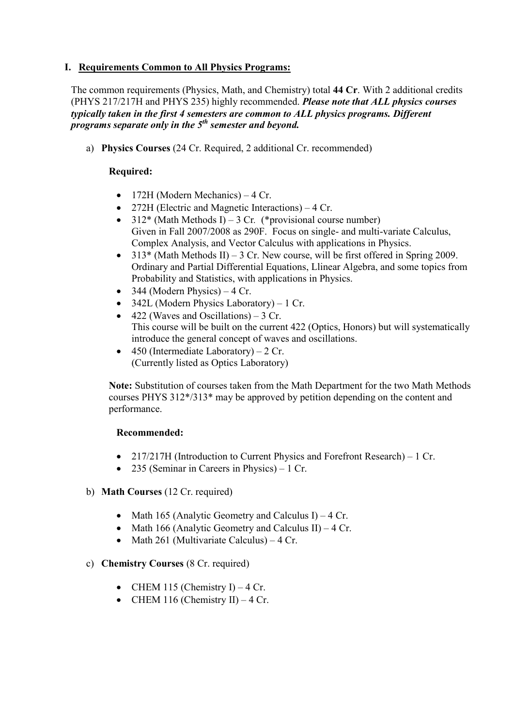## **I. Requirements Common to All Physics Programs:**

The common requirements (Physics, Math, and Chemistry) total **44 Cr**. With 2 additional credits (PHYS 217/217H and PHYS 235) highly recommended. *Please note that ALL physics courses typically taken in the first 4 semesters are common to ALL physics programs. Different programs separate only in the 5th semester and beyond.*

a) **Physics Courses** (24 Cr. Required, 2 additional Cr. recommended)

# **Required:**

- 172H (Modern Mechanics) 4 Cr.
- 272H (Electric and Magnetic Interactions) 4 Cr.
- 312\* (Math Methods I) 3 Cr*.* (\*provisional course number) Given in Fall 2007/2008 as 290F. Focus on single- and multi-variate Calculus, Complex Analysis, and Vector Calculus with applications in Physics.
- $313*$  (Math Methods II) 3 Cr. New course, will be first offered in Spring 2009. Ordinary and Partial Differential Equations, Llinear Algebra, and some topics from Probability and Statistics, with applications in Physics.
- 344 (Modern Physics)  $-4$  Cr.
- 342L (Modern Physics Laboratory) 1 Cr.
- 422 (Waves and Oscillations) 3 Cr. This course will be built on the current 422 (Optics, Honors) but will systematically introduce the general concept of waves and oscillations.
- 450 (Intermediate Laboratory)  $2 \text{ Cr.}$ (Currently listed as Optics Laboratory)

**Note:** Substitution of courses taken from the Math Department for the two Math Methods courses PHYS 312\*/313\* may be approved by petition depending on the content and performance.

### **Recommended:**

- 217/217H (Introduction to Current Physics and Forefront Research) 1 Cr.
- 235 (Seminar in Careers in Physics) 1 Cr.

### b) **Math Courses** (12 Cr. required)

- Math 165 (Analytic Geometry and Calculus I) 4 Cr.
- Math 166 (Analytic Geometry and Calculus II) 4 Cr.
- Math 261 (Multivariate Calculus) 4 Cr.

### c) **Chemistry Courses** (8 Cr. required)

- CHEM 115 (Chemistry I) 4 Cr.
- CHEM 116 (Chemistry II)  $-4$  Cr.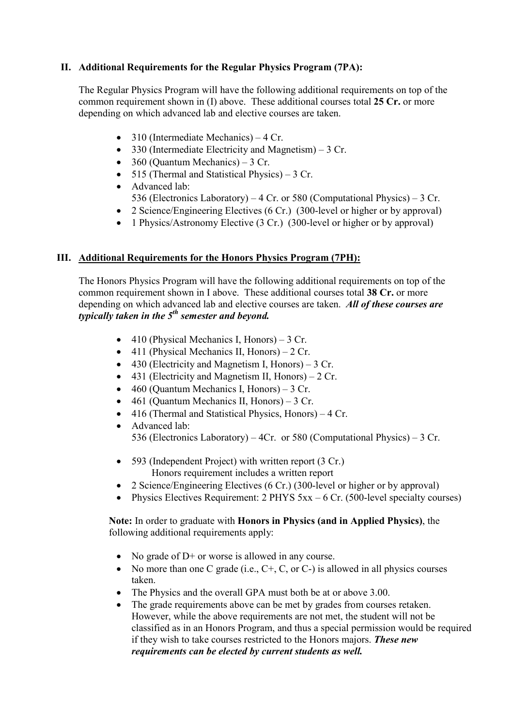# **II. Additional Requirements for the Regular Physics Program (7PA):**

The Regular Physics Program will have the following additional requirements on top of the common requirement shown in (I) above. These additional courses total **25 Cr.** or more depending on which advanced lab and elective courses are taken.

- 310 (Intermediate Mechanics) 4 Cr.
- 330 (Intermediate Electricity and Magnetism) 3 Cr.
- 360 (Ouantum Mechanics)  $3 \text{ Cr.}$
- 515 (Thermal and Statistical Physics) 3 Cr.
- Advanced lab:
	- 536 (Electronics Laboratory) 4 Cr. or 580 (Computational Physics) 3 Cr.
- 2 Science/Engineering Electives (6 Cr.) (300-level or higher or by approval)
- 1 Physics/Astronomy Elective (3 Cr.) (300-level or higher or by approval)

### **III. Additional Requirements for the Honors Physics Program (7PH):**

The Honors Physics Program will have the following additional requirements on top of the common requirement shown in I above. These additional courses total **38 Cr.** or more depending on which advanced lab and elective courses are taken. *All of these courses are typically taken in the 5th semester and beyond.*

- 410 (Physical Mechanics I, Honors)  $3$  Cr.
- 411 (Physical Mechanics II, Honors) 2 Cr.
- 430 (Electricity and Magnetism I, Honors) 3 Cr.
- 431 (Electricity and Magnetism II, Honors)  $2 \text{ Cr.}$
- 460 (Quantum Mechanics I, Honors) 3 Cr.
- 461 (Quantum Mechanics II, Honors) 3 Cr.
- 416 (Thermal and Statistical Physics, Honors) 4 Cr.
- Advanced lab: 536 (Electronics Laboratory) – 4Cr. or 580 (Computational Physics) – 3 Cr.
- 593 (Independent Project) with written report (3 Cr.) Honors requirement includes a written report
- 2 Science/Engineering Electives (6 Cr.) (300-level or higher or by approval)
- Physics Electives Requirement: 2 PHYS 5xx 6 Cr. (500-level specialty courses)

#### **Note:** In order to graduate with **Honors in Physics (and in Applied Physics)**, the following additional requirements apply:

- No grade of D+ or worse is allowed in any course.
- No more than one C grade (i.e.,  $C_{+}$ , C, or C-) is allowed in all physics courses taken.
- The Physics and the overall GPA must both be at or above 3.00.
- The grade requirements above can be met by grades from courses retaken. However, while the above requirements are not met, the student will not be classified as in an Honors Program, and thus a special permission would be required if they wish to take courses restricted to the Honors majors. *These new requirements can be elected by current students as well.*